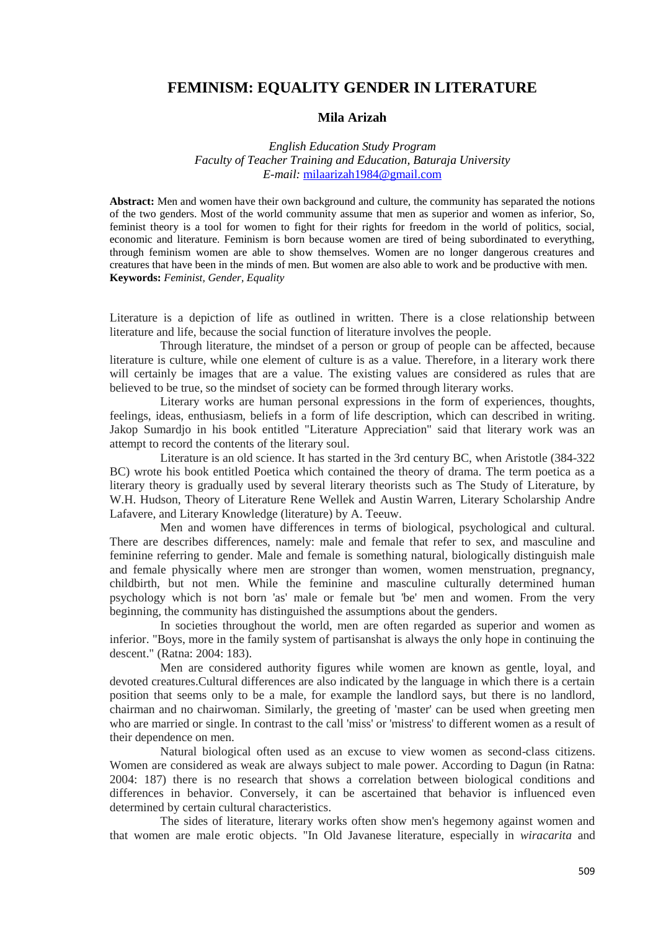# **FEMINISM: EQUALITY GENDER IN LITERATURE**

## **Mila Arizah**

*English Education Study Program Faculty of Teacher Training and Education, Baturaja University E-mail:* [milaarizah1984@gmail.com](mailto:milaarizah1984@gmail.com)

**Abstract:** Men and women have their own background and culture, the community has separated the notions of the two genders. Most of the world community assume that men as superior and women as inferior, So, feminist theory is a tool for women to fight for their rights for freedom in the world of politics, social, economic and literature. Feminism is born because women are tired of being subordinated to everything, through feminism women are able to show themselves. Women are no longer dangerous creatures and creatures that have been in the minds of men. But women are also able to work and be productive with men. **Keywords:** *Feminist, Gender, Equality*

Literature is a depiction of life as outlined in written. There is a close relationship between literature and life, because the social function of literature involves the people.

Through literature, the mindset of a person or group of people can be affected, because literature is culture, while one element of culture is as a value. Therefore, in a literary work there will certainly be images that are a value. The existing values are considered as rules that are believed to be true, so the mindset of society can be formed through literary works.

Literary works are human personal expressions in the form of experiences, thoughts, feelings, ideas, enthusiasm, beliefs in a form of life description, which can described in writing. Jakop Sumardjo in his book entitled "Literature Appreciation" said that literary work was an attempt to record the contents of the literary soul.

Literature is an old science. It has started in the 3rd century BC, when Aristotle (384-322 BC) wrote his book entitled Poetica which contained the theory of drama. The term poetica as a literary theory is gradually used by several literary theorists such as The Study of Literature, by W.H. Hudson, Theory of Literature Rene Wellek and Austin Warren, Literary Scholarship Andre Lafavere, and Literary Knowledge (literature) by A. Teeuw.

Men and women have differences in terms of biological, psychological and cultural. There are describes differences, namely: male and female that refer to sex, and masculine and feminine referring to gender. Male and female is something natural, biologically distinguish male and female physically where men are stronger than women, women menstruation, pregnancy, childbirth, but not men. While the feminine and masculine culturally determined human psychology which is not born 'as' male or female but 'be' men and women. From the very beginning, the community has distinguished the assumptions about the genders.

In societies throughout the world, men are often regarded as superior and women as inferior. "Boys, more in the family system of partisanshat is always the only hope in continuing the descent." (Ratna: 2004: 183).

Men are considered authority figures while women are known as gentle, loyal, and devoted creatures.Cultural differences are also indicated by the language in which there is a certain position that seems only to be a male, for example the landlord says, but there is no landlord, chairman and no chairwoman. Similarly, the greeting of 'master' can be used when greeting men who are married or single. In contrast to the call 'miss' or 'mistress' to different women as a result of their dependence on men.

Natural biological often used as an excuse to view women as second-class citizens. Women are considered as weak are always subject to male power. According to Dagun (in Ratna: 2004: 187) there is no research that shows a correlation between biological conditions and differences in behavior. Conversely, it can be ascertained that behavior is influenced even determined by certain cultural characteristics.

The sides of literature, literary works often show men's hegemony against women and that women are male erotic objects. "In Old Javanese literature, especially in *wiracarita* and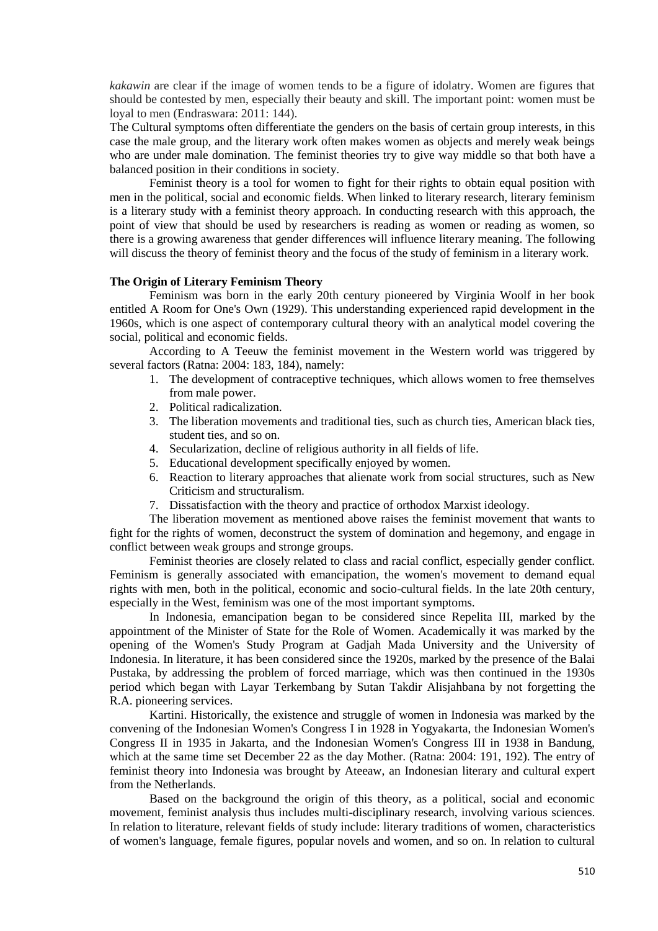*kakawin* are clear if the image of women tends to be a figure of idolatry. Women are figures that should be contested by men, especially their beauty and skill. The important point: women must be loyal to men (Endraswara: 2011: 144).

The Cultural symptoms often differentiate the genders on the basis of certain group interests, in this case the male group, and the literary work often makes women as objects and merely weak beings who are under male domination. The feminist theories try to give way middle so that both have a balanced position in their conditions in society.

Feminist theory is a tool for women to fight for their rights to obtain equal position with men in the political, social and economic fields. When linked to literary research, literary feminism is a literary study with a feminist theory approach. In conducting research with this approach, the point of view that should be used by researchers is reading as women or reading as women, so there is a growing awareness that gender differences will influence literary meaning. The following will discuss the theory of feminist theory and the focus of the study of feminism in a literary work.

#### **The Origin of Literary Feminism Theory**

Feminism was born in the early 20th century pioneered by Virginia Woolf in her book entitled A Room for One's Own (1929). This understanding experienced rapid development in the 1960s, which is one aspect of contemporary cultural theory with an analytical model covering the social, political and economic fields.

According to A Teeuw the feminist movement in the Western world was triggered by several factors (Ratna: 2004: 183, 184), namely:

- 1. The development of contraceptive techniques, which allows women to free themselves from male power.
- 2. Political radicalization.
- 3. The liberation movements and traditional ties, such as church ties, American black ties, student ties, and so on.
- 4. Secularization, decline of religious authority in all fields of life.
- 5. Educational development specifically enjoyed by women.
- 6. Reaction to literary approaches that alienate work from social structures, such as New Criticism and structuralism.
- 7. Dissatisfaction with the theory and practice of orthodox Marxist ideology.

The liberation movement as mentioned above raises the feminist movement that wants to fight for the rights of women, deconstruct the system of domination and hegemony, and engage in conflict between weak groups and stronge groups.

Feminist theories are closely related to class and racial conflict, especially gender conflict. Feminism is generally associated with emancipation, the women's movement to demand equal rights with men, both in the political, economic and socio-cultural fields. In the late 20th century, especially in the West, feminism was one of the most important symptoms.

In Indonesia, emancipation began to be considered since Repelita III, marked by the appointment of the Minister of State for the Role of Women. Academically it was marked by the opening of the Women's Study Program at Gadjah Mada University and the University of Indonesia. In literature, it has been considered since the 1920s, marked by the presence of the Balai Pustaka, by addressing the problem of forced marriage, which was then continued in the 1930s period which began with Layar Terkembang by Sutan Takdir Alisjahbana by not forgetting the R.A. pioneering services.

Kartini. Historically, the existence and struggle of women in Indonesia was marked by the convening of the Indonesian Women's Congress I in 1928 in Yogyakarta, the Indonesian Women's Congress II in 1935 in Jakarta, and the Indonesian Women's Congress III in 1938 in Bandung, which at the same time set December 22 as the day Mother. (Ratna: 2004: 191, 192). The entry of feminist theory into Indonesia was brought by Ateeaw, an Indonesian literary and cultural expert from the Netherlands.

Based on the background the origin of this theory, as a political, social and economic movement, feminist analysis thus includes multi-disciplinary research, involving various sciences. In relation to literature, relevant fields of study include: literary traditions of women, characteristics of women's language, female figures, popular novels and women, and so on. In relation to cultural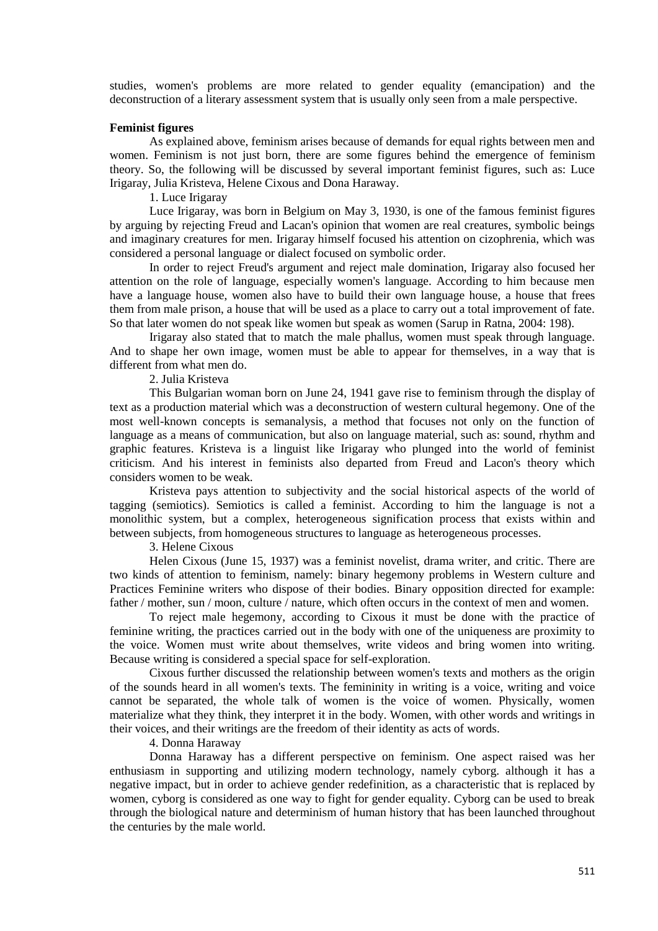studies, women's problems are more related to gender equality (emancipation) and the deconstruction of a literary assessment system that is usually only seen from a male perspective.

# **Feminist figures**

As explained above, feminism arises because of demands for equal rights between men and women. Feminism is not just born, there are some figures behind the emergence of feminism theory. So, the following will be discussed by several important feminist figures, such as: Luce Irigaray, Julia Kristeva, Helene Cixous and Dona Haraway.

1. Luce Irigaray

Luce Irigaray, was born in Belgium on May 3, 1930, is one of the famous feminist figures by arguing by rejecting Freud and Lacan's opinion that women are real creatures, symbolic beings and imaginary creatures for men. Irigaray himself focused his attention on cizophrenia, which was considered a personal language or dialect focused on symbolic order.

In order to reject Freud's argument and reject male domination, Irigaray also focused her attention on the role of language, especially women's language. According to him because men have a language house, women also have to build their own language house, a house that frees them from male prison, a house that will be used as a place to carry out a total improvement of fate. So that later women do not speak like women but speak as women (Sarup in Ratna, 2004: 198).

Irigaray also stated that to match the male phallus, women must speak through language. And to shape her own image, women must be able to appear for themselves, in a way that is different from what men do.

2. Julia Kristeva

This Bulgarian woman born on June 24, 1941 gave rise to feminism through the display of text as a production material which was a deconstruction of western cultural hegemony. One of the most well-known concepts is semanalysis, a method that focuses not only on the function of language as a means of communication, but also on language material, such as: sound, rhythm and graphic features. Kristeva is a linguist like Irigaray who plunged into the world of feminist criticism. And his interest in feminists also departed from Freud and Lacon's theory which considers women to be weak.

Kristeva pays attention to subjectivity and the social historical aspects of the world of tagging (semiotics). Semiotics is called a feminist. According to him the language is not a monolithic system, but a complex, heterogeneous signification process that exists within and between subjects, from homogeneous structures to language as heterogeneous processes.

3. Helene Cixous

Helen Cixous (June 15, 1937) was a feminist novelist, drama writer, and critic. There are two kinds of attention to feminism, namely: binary hegemony problems in Western culture and Practices Feminine writers who dispose of their bodies. Binary opposition directed for example: father / mother, sun / moon, culture / nature, which often occurs in the context of men and women.

To reject male hegemony, according to Cixous it must be done with the practice of feminine writing, the practices carried out in the body with one of the uniqueness are proximity to the voice. Women must write about themselves, write videos and bring women into writing. Because writing is considered a special space for self-exploration.

Cixous further discussed the relationship between women's texts and mothers as the origin of the sounds heard in all women's texts. The femininity in writing is a voice, writing and voice cannot be separated, the whole talk of women is the voice of women. Physically, women materialize what they think, they interpret it in the body. Women, with other words and writings in their voices, and their writings are the freedom of their identity as acts of words.

# 4. Donna Haraway

Donna Haraway has a different perspective on feminism. One aspect raised was her enthusiasm in supporting and utilizing modern technology, namely cyborg. although it has a negative impact, but in order to achieve gender redefinition, as a characteristic that is replaced by women, cyborg is considered as one way to fight for gender equality. Cyborg can be used to break through the biological nature and determinism of human history that has been launched throughout the centuries by the male world.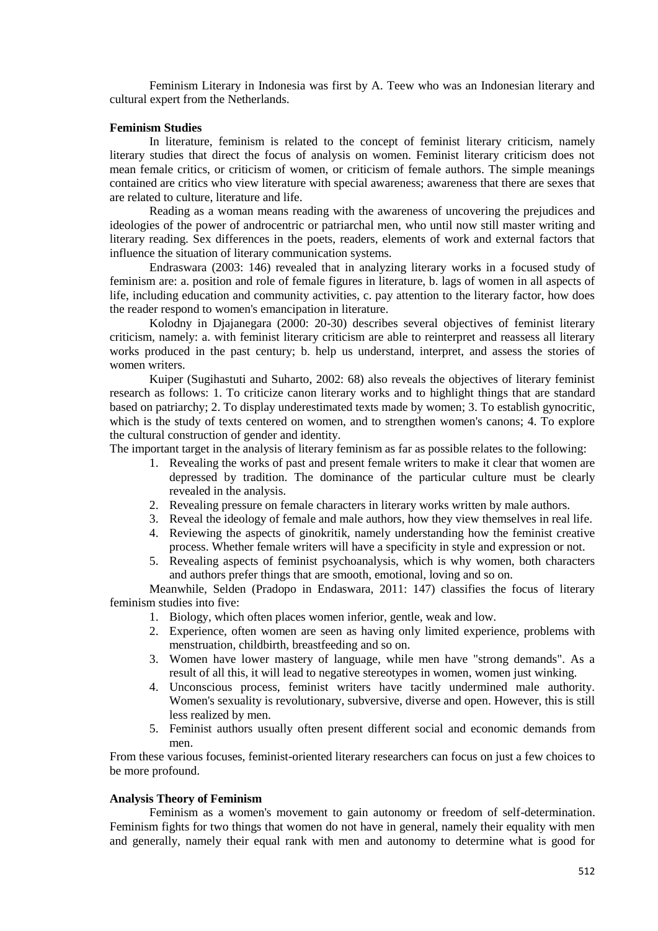Feminism Literary in Indonesia was first by A. Teew who was an Indonesian literary and cultural expert from the Netherlands.

# **Feminism Studies**

In literature, feminism is related to the concept of feminist literary criticism, namely literary studies that direct the focus of analysis on women. Feminist literary criticism does not mean female critics, or criticism of women, or criticism of female authors. The simple meanings contained are critics who view literature with special awareness; awareness that there are sexes that are related to culture, literature and life.

Reading as a woman means reading with the awareness of uncovering the prejudices and ideologies of the power of androcentric or patriarchal men, who until now still master writing and literary reading. Sex differences in the poets, readers, elements of work and external factors that influence the situation of literary communication systems.

Endraswara (2003: 146) revealed that in analyzing literary works in a focused study of feminism are: a. position and role of female figures in literature, b. lags of women in all aspects of life, including education and community activities, c. pay attention to the literary factor, how does the reader respond to women's emancipation in literature.

Kolodny in Djajanegara (2000: 20-30) describes several objectives of feminist literary criticism, namely: a. with feminist literary criticism are able to reinterpret and reassess all literary works produced in the past century; b. help us understand, interpret, and assess the stories of women writers.

Kuiper (Sugihastuti and Suharto, 2002: 68) also reveals the objectives of literary feminist research as follows: 1. To criticize canon literary works and to highlight things that are standard based on patriarchy; 2. To display underestimated texts made by women; 3. To establish gynocritic, which is the study of texts centered on women, and to strengthen women's canons; 4. To explore the cultural construction of gender and identity.

The important target in the analysis of literary feminism as far as possible relates to the following:

- 1. Revealing the works of past and present female writers to make it clear that women are depressed by tradition. The dominance of the particular culture must be clearly revealed in the analysis.
- 2. Revealing pressure on female characters in literary works written by male authors.
- 3. Reveal the ideology of female and male authors, how they view themselves in real life.
- 4. Reviewing the aspects of ginokritik, namely understanding how the feminist creative process. Whether female writers will have a specificity in style and expression or not.
- 5. Revealing aspects of feminist psychoanalysis, which is why women, both characters and authors prefer things that are smooth, emotional, loving and so on.

Meanwhile, Selden (Pradopo in Endaswara, 2011: 147) classifies the focus of literary feminism studies into five:

- 1. Biology, which often places women inferior, gentle, weak and low.
- 2. Experience, often women are seen as having only limited experience, problems with menstruation, childbirth, breastfeeding and so on.
- 3. Women have lower mastery of language, while men have "strong demands". As a result of all this, it will lead to negative stereotypes in women, women just winking.
- 4. Unconscious process, feminist writers have tacitly undermined male authority. Women's sexuality is revolutionary, subversive, diverse and open. However, this is still less realized by men.
- 5. Feminist authors usually often present different social and economic demands from men.

From these various focuses, feminist-oriented literary researchers can focus on just a few choices to be more profound.

## **Analysis Theory of Feminism**

Feminism as a women's movement to gain autonomy or freedom of self-determination. Feminism fights for two things that women do not have in general, namely their equality with men and generally, namely their equal rank with men and autonomy to determine what is good for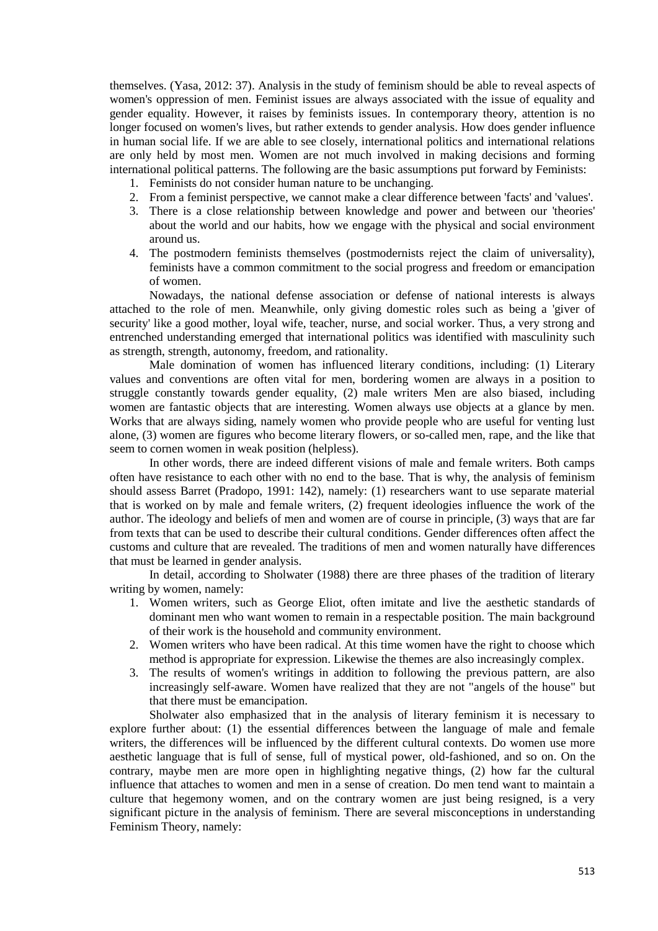themselves. (Yasa, 2012: 37). Analysis in the study of feminism should be able to reveal aspects of women's oppression of men. Feminist issues are always associated with the issue of equality and gender equality. However, it raises by feminists issues. In contemporary theory, attention is no longer focused on women's lives, but rather extends to gender analysis. How does gender influence in human social life. If we are able to see closely, international politics and international relations are only held by most men. Women are not much involved in making decisions and forming international political patterns. The following are the basic assumptions put forward by Feminists:

- 1. Feminists do not consider human nature to be unchanging.
- 2. From a feminist perspective, we cannot make a clear difference between 'facts' and 'values'.
- 3. There is a close relationship between knowledge and power and between our 'theories' about the world and our habits, how we engage with the physical and social environment around us.
- 4. The postmodern feminists themselves (postmodernists reject the claim of universality), feminists have a common commitment to the social progress and freedom or emancipation of women.

Nowadays, the national defense association or defense of national interests is always attached to the role of men. Meanwhile, only giving domestic roles such as being a 'giver of security' like a good mother, loyal wife, teacher, nurse, and social worker. Thus, a very strong and entrenched understanding emerged that international politics was identified with masculinity such as strength, strength, autonomy, freedom, and rationality.

Male domination of women has influenced literary conditions, including: (1) Literary values and conventions are often vital for men, bordering women are always in a position to struggle constantly towards gender equality, (2) male writers Men are also biased, including women are fantastic objects that are interesting. Women always use objects at a glance by men. Works that are always siding, namely women who provide people who are useful for venting lust alone, (3) women are figures who become literary flowers, or so-called men, rape, and the like that seem to cornen women in weak position (helpless).

In other words, there are indeed different visions of male and female writers. Both camps often have resistance to each other with no end to the base. That is why, the analysis of feminism should assess Barret (Pradopo, 1991: 142), namely: (1) researchers want to use separate material that is worked on by male and female writers, (2) frequent ideologies influence the work of the author. The ideology and beliefs of men and women are of course in principle, (3) ways that are far from texts that can be used to describe their cultural conditions. Gender differences often affect the customs and culture that are revealed. The traditions of men and women naturally have differences that must be learned in gender analysis.

In detail, according to Sholwater (1988) there are three phases of the tradition of literary writing by women, namely:

- 1. Women writers, such as George Eliot, often imitate and live the aesthetic standards of dominant men who want women to remain in a respectable position. The main background of their work is the household and community environment.
- 2. Women writers who have been radical. At this time women have the right to choose which method is appropriate for expression. Likewise the themes are also increasingly complex.
- 3. The results of women's writings in addition to following the previous pattern, are also increasingly self-aware. Women have realized that they are not "angels of the house" but that there must be emancipation.

Sholwater also emphasized that in the analysis of literary feminism it is necessary to explore further about: (1) the essential differences between the language of male and female writers, the differences will be influenced by the different cultural contexts. Do women use more aesthetic language that is full of sense, full of mystical power, old-fashioned, and so on. On the contrary, maybe men are more open in highlighting negative things, (2) how far the cultural influence that attaches to women and men in a sense of creation. Do men tend want to maintain a culture that hegemony women, and on the contrary women are just being resigned, is a very significant picture in the analysis of feminism. There are several misconceptions in understanding Feminism Theory, namely: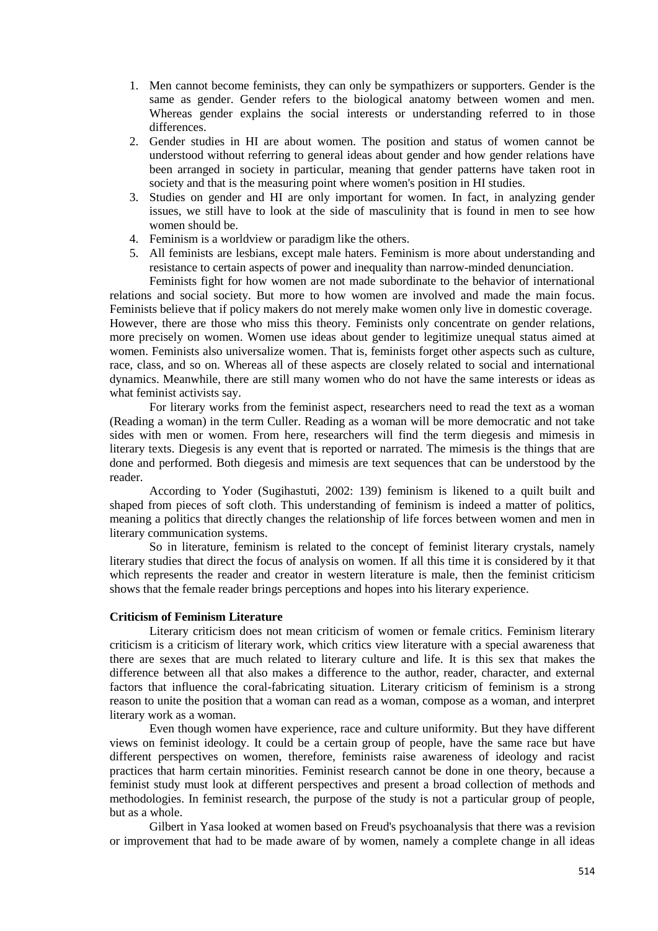- 1. Men cannot become feminists, they can only be sympathizers or supporters. Gender is the same as gender. Gender refers to the biological anatomy between women and men. Whereas gender explains the social interests or understanding referred to in those differences.
- 2. Gender studies in HI are about women. The position and status of women cannot be understood without referring to general ideas about gender and how gender relations have been arranged in society in particular, meaning that gender patterns have taken root in society and that is the measuring point where women's position in HI studies.
- 3. Studies on gender and HI are only important for women. In fact, in analyzing gender issues, we still have to look at the side of masculinity that is found in men to see how women should be.
- 4. Feminism is a worldview or paradigm like the others.
- 5. All feminists are lesbians, except male haters. Feminism is more about understanding and resistance to certain aspects of power and inequality than narrow-minded denunciation.

Feminists fight for how women are not made subordinate to the behavior of international relations and social society. But more to how women are involved and made the main focus. Feminists believe that if policy makers do not merely make women only live in domestic coverage. However, there are those who miss this theory. Feminists only concentrate on gender relations, more precisely on women. Women use ideas about gender to legitimize unequal status aimed at women. Feminists also universalize women. That is, feminists forget other aspects such as culture, race, class, and so on. Whereas all of these aspects are closely related to social and international dynamics. Meanwhile, there are still many women who do not have the same interests or ideas as what feminist activists say.

For literary works from the feminist aspect, researchers need to read the text as a woman (Reading a woman) in the term Culler. Reading as a woman will be more democratic and not take sides with men or women. From here, researchers will find the term diegesis and mimesis in literary texts. Diegesis is any event that is reported or narrated. The mimesis is the things that are done and performed. Both diegesis and mimesis are text sequences that can be understood by the reader.

According to Yoder (Sugihastuti, 2002: 139) feminism is likened to a quilt built and shaped from pieces of soft cloth. This understanding of feminism is indeed a matter of politics, meaning a politics that directly changes the relationship of life forces between women and men in literary communication systems.

So in literature, feminism is related to the concept of feminist literary crystals, namely literary studies that direct the focus of analysis on women. If all this time it is considered by it that which represents the reader and creator in western literature is male, then the feminist criticism shows that the female reader brings perceptions and hopes into his literary experience.

#### **Criticism of Feminism Literature**

Literary criticism does not mean criticism of women or female critics. Feminism literary criticism is a criticism of literary work, which critics view literature with a special awareness that there are sexes that are much related to literary culture and life. It is this sex that makes the difference between all that also makes a difference to the author, reader, character, and external factors that influence the coral-fabricating situation. Literary criticism of feminism is a strong reason to unite the position that a woman can read as a woman, compose as a woman, and interpret literary work as a woman.

Even though women have experience, race and culture uniformity. But they have different views on feminist ideology. It could be a certain group of people, have the same race but have different perspectives on women, therefore, feminists raise awareness of ideology and racist practices that harm certain minorities. Feminist research cannot be done in one theory, because a feminist study must look at different perspectives and present a broad collection of methods and methodologies. In feminist research, the purpose of the study is not a particular group of people, but as a whole.

Gilbert in Yasa looked at women based on Freud's psychoanalysis that there was a revision or improvement that had to be made aware of by women, namely a complete change in all ideas